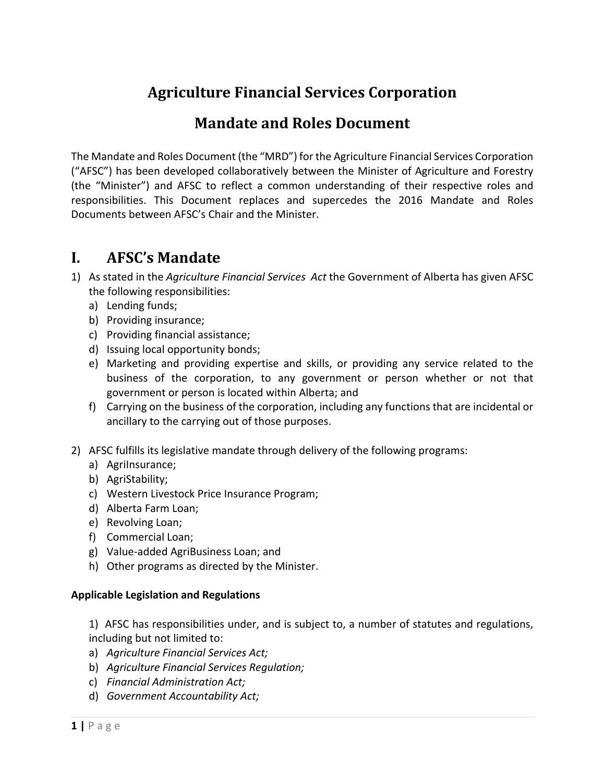# **Agriculture Financial Services Corporation**

## **Mandate and Roles Document**

The Mandate and Roles Document (the "MRD") for the Agriculture Financial Services Corporation ("AFSC") has been developed collaboratively between the Minister of Agriculture and Forestry (the "Minister") and AFSC to reflect a common understanding of their respective roles and responsibilities. This Document replaces and supercedes the 2016 Mandate and Roles Documents between AFSC's Chair and the Minister.

## **I. AFSC's Mandate**

- 1) As stated in the *Agriculture Financial Services Act* the Government of Alberta has given AFSC the following responsibilities:
	- a) Lending funds;
	- b) Providing insurance;
	- c) Providing financial assistance;
	- d) Issuing local opportunity bonds;
	- e) Marketing and providing expertise and skills, or providing any service related to the business of the corporation, to any government or person whether or not that government or person is located within Alberta; and
	- f) Carrying on the business of the corporation, including any functions that are incidental or ancillary to the carrying out of those purposes.
- 2) AFSC fulfills its legislative mandate through delivery of the following programs:
	- a) AgriInsurance;
	- b) AgriStability;
	- c) Western Livestock Price Insurance Program;
	- d) Alberta Farm Loan;
	- e) Revolving Loan;
	- f) Commercial Loan;
	- g) Value‐added AgriBusiness Loan; and
	- h) Other programs as directed by the Minister.

### **Applicable Legislation and Regulations**

1) AFSC has responsibilities under, and is subject to, a number of statutes and regulations, including but not limited to:

- a) *Agriculture Financial Services Act;*
- b) *Agriculture Financial Services Regulation;*
- c) *Financial Administration Act;*
- d) *Government Accountability Act;*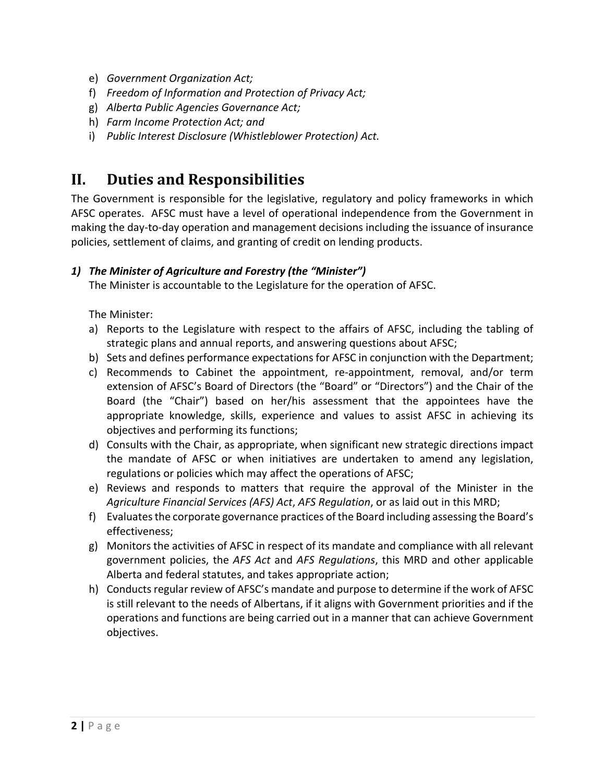- e) *Government Organization Act;*
- f) *Freedom of Information and Protection of Privacy Act;*
- g) *Alberta Public Agencies Governance Act;*
- h) *Farm Income Protection Act; and*
- i) *Public Interest Disclosure (Whistleblower Protection) Act.*

## **II. Duties and Responsibilities**

The Government is responsible for the legislative, regulatory and policy frameworks in which AFSC operates. AFSC must have a level of operational independence from the Government in making the day‐to‐day operation and management decisions including the issuance of insurance policies, settlement of claims, and granting of credit on lending products.

### *1) The Minister of Agriculture and Forestry (the "Minister")*

The Minister is accountable to the Legislature for the operation of AFSC.

The Minister:

- a) Reports to the Legislature with respect to the affairs of AFSC, including the tabling of strategic plans and annual reports, and answering questions about AFSC;
- b) Sets and defines performance expectations for AFSC in conjunction with the Department;
- c) Recommends to Cabinet the appointment, re‐appointment, removal, and/or term extension of AFSC's Board of Directors (the "Board" or "Directors") and the Chair of the Board (the "Chair") based on her/his assessment that the appointees have the appropriate knowledge, skills, experience and values to assist AFSC in achieving its objectives and performing its functions;
- d) Consults with the Chair, as appropriate, when significant new strategic directions impact the mandate of AFSC or when initiatives are undertaken to amend any legislation, regulations or policies which may affect the operations of AFSC;
- e) Reviews and responds to matters that require the approval of the Minister in the *Agriculture Financial Services (AFS) Act*, *AFS Regulation*, or as laid out in this MRD;
- f) Evaluates the corporate governance practices of the Board including assessing the Board's effectiveness;
- g) Monitors the activities of AFSC in respect of its mandate and compliance with all relevant government policies, the *AFS Act* and *AFS Regulations*, this MRD and other applicable Alberta and federal statutes, and takes appropriate action;
- h) Conducts regular review of AFSC's mandate and purpose to determine if the work of AFSC is still relevant to the needs of Albertans, if it aligns with Government priorities and if the operations and functions are being carried out in a manner that can achieve Government objectives.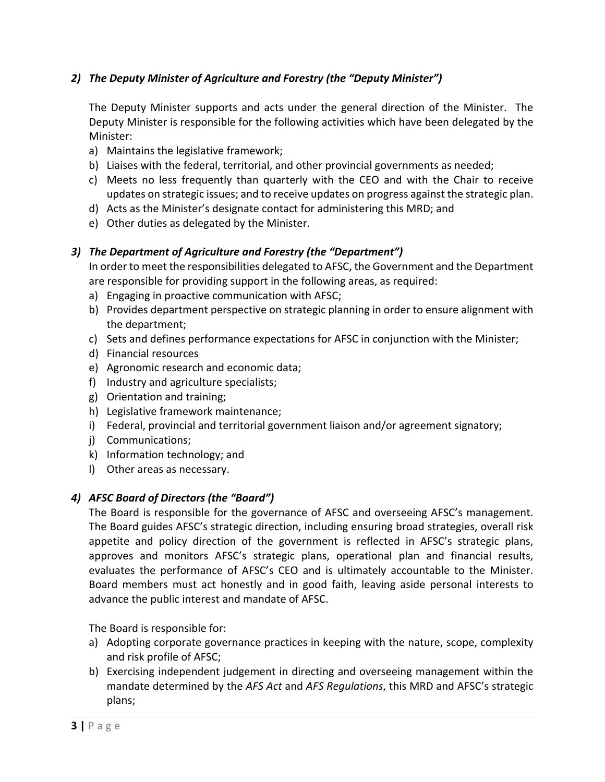### *2) The Deputy Minister of Agriculture and Forestry (the "Deputy Minister")*

The Deputy Minister supports and acts under the general direction of the Minister. The Deputy Minister is responsible for the following activities which have been delegated by the Minister:

- a) Maintains the legislative framework;
- b) Liaises with the federal, territorial, and other provincial governments as needed;
- c) Meets no less frequently than quarterly with the CEO and with the Chair to receive updates on strategic issues; and to receive updates on progress against the strategic plan.
- d) Acts as the Minister's designate contact for administering this MRD; and
- e) Other duties as delegated by the Minister.

### *3) The Department of Agriculture and Forestry (the "Department")*

In order to meet the responsibilities delegated to AFSC, the Government and the Department are responsible for providing support in the following areas, as required:

- a) Engaging in proactive communication with AFSC;
- b) Provides department perspective on strategic planning in order to ensure alignment with the department;
- c) Sets and defines performance expectations for AFSC in conjunction with the Minister;
- d) Financial resources
- e) Agronomic research and economic data;
- f) Industry and agriculture specialists;
- g) Orientation and training;
- h) Legislative framework maintenance;
- i) Federal, provincial and territorial government liaison and/or agreement signatory;
- j) Communications;
- k) Information technology; and
- l) Other areas as necessary.

### *4) AFSC Board of Directors (the "Board")*

The Board is responsible for the governance of AFSC and overseeing AFSC's management. The Board guides AFSC's strategic direction, including ensuring broad strategies, overall risk appetite and policy direction of the government is reflected in AFSC's strategic plans, approves and monitors AFSC's strategic plans, operational plan and financial results, evaluates the performance of AFSC's CEO and is ultimately accountable to the Minister. Board members must act honestly and in good faith, leaving aside personal interests to advance the public interest and mandate of AFSC.

The Board is responsible for:

- a) Adopting corporate governance practices in keeping with the nature, scope, complexity and risk profile of AFSC;
- b) Exercising independent judgement in directing and overseeing management within the mandate determined by the *AFS Act* and *AFS Regulations*, this MRD and AFSC's strategic plans;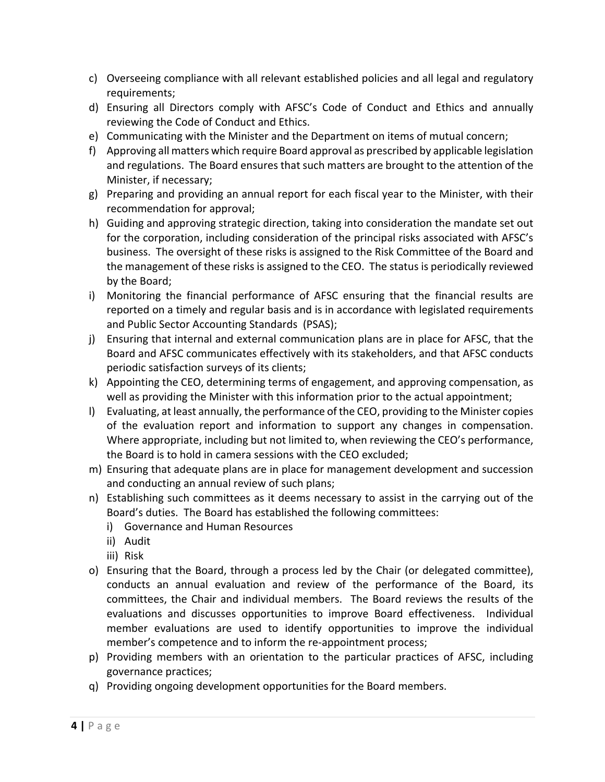- c) Overseeing compliance with all relevant established policies and all legal and regulatory requirements;
- d) Ensuring all Directors comply with AFSC's Code of Conduct and Ethics and annually reviewing the Code of Conduct and Ethics.
- e) Communicating with the Minister and the Department on items of mutual concern;
- f) Approving all matters which require Board approval as prescribed by applicable legislation and regulations. The Board ensures that such matters are brought to the attention of the Minister, if necessary;
- g) Preparing and providing an annual report for each fiscal year to the Minister, with their recommendation for approval;
- h) Guiding and approving strategic direction, taking into consideration the mandate set out for the corporation, including consideration of the principal risks associated with AFSC's business. The oversight of these risks is assigned to the Risk Committee of the Board and the management of these risks is assigned to the CEO. The status is periodically reviewed by the Board;
- i) Monitoring the financial performance of AFSC ensuring that the financial results are reported on a timely and regular basis and is in accordance with legislated requirements and Public Sector Accounting Standards (PSAS);
- j) Ensuring that internal and external communication plans are in place for AFSC, that the Board and AFSC communicates effectively with its stakeholders, and that AFSC conducts periodic satisfaction surveys of its clients;
- k) Appointing the CEO, determining terms of engagement, and approving compensation, as well as providing the Minister with this information prior to the actual appointment;
- l) Evaluating, at least annually, the performance of the CEO, providing to the Minister copies of the evaluation report and information to support any changes in compensation. Where appropriate, including but not limited to, when reviewing the CEO's performance, the Board is to hold in camera sessions with the CEO excluded;
- m) Ensuring that adequate plans are in place for management development and succession and conducting an annual review of such plans;
- n) Establishing such committees as it deems necessary to assist in the carrying out of the Board's duties. The Board has established the following committees:
	- i) Governance and Human Resources
	- ii) Audit
	- iii) Risk
- o) Ensuring that the Board, through a process led by the Chair (or delegated committee), conducts an annual evaluation and review of the performance of the Board, its committees, the Chair and individual members. The Board reviews the results of the evaluations and discusses opportunities to improve Board effectiveness. Individual member evaluations are used to identify opportunities to improve the individual member's competence and to inform the re-appointment process;
- p) Providing members with an orientation to the particular practices of AFSC, including governance practices;
- q) Providing ongoing development opportunities for the Board members.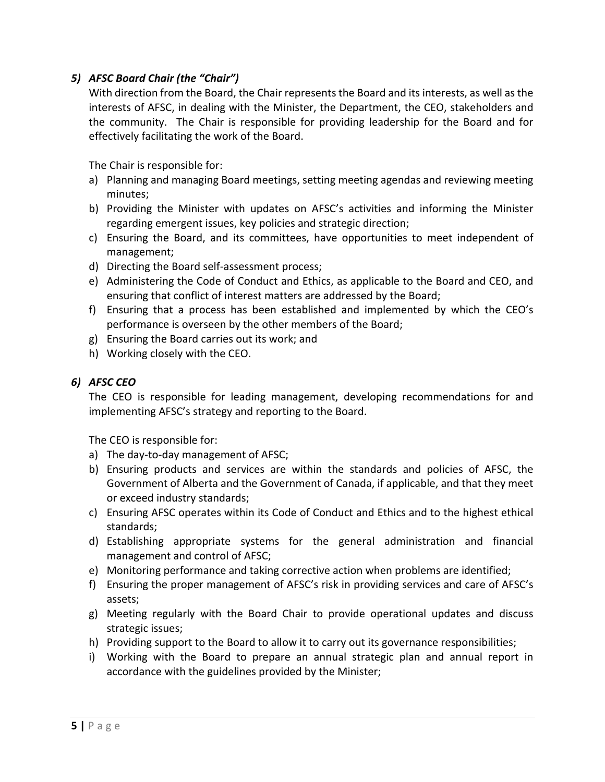### *5) AFSC Board Chair (the "Chair")*

With direction from the Board, the Chair represents the Board and its interests, as well as the interests of AFSC, in dealing with the Minister, the Department, the CEO, stakeholders and the community. The Chair is responsible for providing leadership for the Board and for effectively facilitating the work of the Board.

The Chair is responsible for:

- a) Planning and managing Board meetings, setting meeting agendas and reviewing meeting minutes;
- b) Providing the Minister with updates on AFSC's activities and informing the Minister regarding emergent issues, key policies and strategic direction;
- c) Ensuring the Board, and its committees, have opportunities to meet independent of management;
- d) Directing the Board self‐assessment process;
- e) Administering the Code of Conduct and Ethics, as applicable to the Board and CEO, and ensuring that conflict of interest matters are addressed by the Board;
- f) Ensuring that a process has been established and implemented by which the CEO's performance is overseen by the other members of the Board;
- g) Ensuring the Board carries out its work; and
- h) Working closely with the CEO.

#### *6) AFSC CEO*

The CEO is responsible for leading management, developing recommendations for and implementing AFSC's strategy and reporting to the Board.

The CEO is responsible for:

- a) The day‐to‐day management of AFSC;
- b) Ensuring products and services are within the standards and policies of AFSC, the Government of Alberta and the Government of Canada, if applicable, and that they meet or exceed industry standards;
- c) Ensuring AFSC operates within its Code of Conduct and Ethics and to the highest ethical standards;
- d) Establishing appropriate systems for the general administration and financial management and control of AFSC;
- e) Monitoring performance and taking corrective action when problems are identified;
- f) Ensuring the proper management of AFSC's risk in providing services and care of AFSC's assets;
- g) Meeting regularly with the Board Chair to provide operational updates and discuss strategic issues;
- h) Providing support to the Board to allow it to carry out its governance responsibilities;
- i) Working with the Board to prepare an annual strategic plan and annual report in accordance with the guidelines provided by the Minister;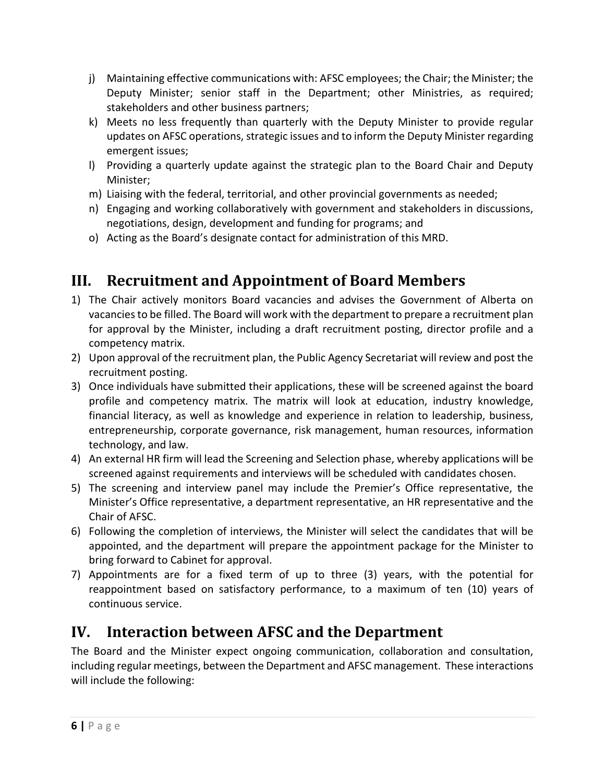- j) Maintaining effective communications with: AFSC employees; the Chair; the Minister; the Deputy Minister; senior staff in the Department; other Ministries, as required; stakeholders and other business partners;
- k) Meets no less frequently than quarterly with the Deputy Minister to provide regular updates on AFSC operations, strategic issues and to inform the Deputy Minister regarding emergent issues;
- l) Providing a quarterly update against the strategic plan to the Board Chair and Deputy Minister;
- m) Liaising with the federal, territorial, and other provincial governments as needed;
- n) Engaging and working collaboratively with government and stakeholders in discussions, negotiations, design, development and funding for programs; and
- o) Acting as the Board's designate contact for administration of this MRD.

# **III. Recruitment and Appointment of Board Members**

- 1) The Chair actively monitors Board vacancies and advises the Government of Alberta on vacancies to be filled. The Board will work with the department to prepare a recruitment plan for approval by the Minister, including a draft recruitment posting, director profile and a competency matrix.
- 2) Upon approval of the recruitment plan, the Public Agency Secretariat will review and post the recruitment posting.
- 3) Once individuals have submitted their applications, these will be screened against the board profile and competency matrix. The matrix will look at education, industry knowledge, financial literacy, as well as knowledge and experience in relation to leadership, business, entrepreneurship, corporate governance, risk management, human resources, information technology, and law.
- 4) An external HR firm will lead the Screening and Selection phase, whereby applications will be screened against requirements and interviews will be scheduled with candidates chosen.
- 5) The screening and interview panel may include the Premier's Office representative, the Minister's Office representative, a department representative, an HR representative and the Chair of AFSC.
- 6) Following the completion of interviews, the Minister will select the candidates that will be appointed, and the department will prepare the appointment package for the Minister to bring forward to Cabinet for approval.
- 7) Appointments are for a fixed term of up to three (3) years, with the potential for reappointment based on satisfactory performance, to a maximum of ten (10) years of continuous service.

## **IV. Interaction between AFSC and the Department**

The Board and the Minister expect ongoing communication, collaboration and consultation, including regular meetings, between the Department and AFSC management. These interactions will include the following: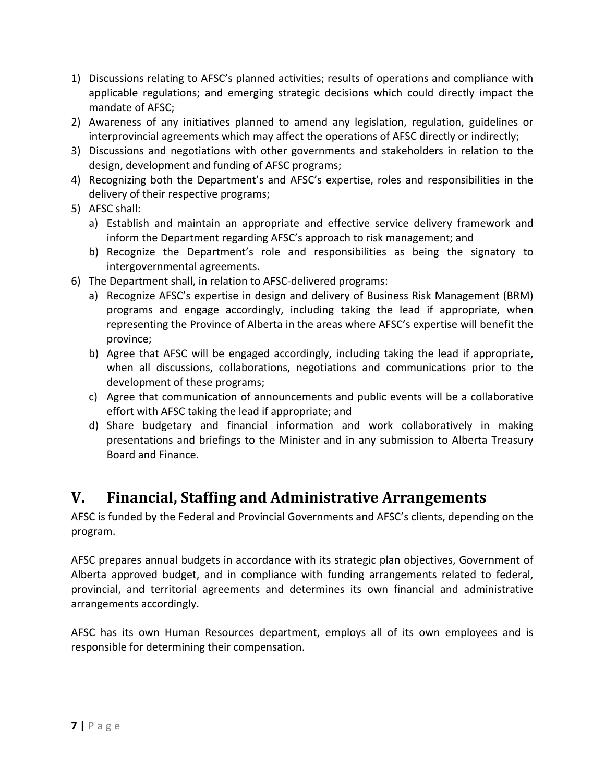- 1) Discussions relating to AFSC's planned activities; results of operations and compliance with applicable regulations; and emerging strategic decisions which could directly impact the mandate of AFSC;
- 2) Awareness of any initiatives planned to amend any legislation, regulation, guidelines or interprovincial agreements which may affect the operations of AFSC directly or indirectly;
- 3) Discussions and negotiations with other governments and stakeholders in relation to the design, development and funding of AFSC programs;
- 4) Recognizing both the Department's and AFSC's expertise, roles and responsibilities in the delivery of their respective programs;
- 5) AFSC shall:
	- a) Establish and maintain an appropriate and effective service delivery framework and inform the Department regarding AFSC's approach to risk management; and
	- b) Recognize the Department's role and responsibilities as being the signatory to intergovernmental agreements.
- 6) The Department shall, in relation to AFSC‐delivered programs:
	- a) Recognize AFSC's expertise in design and delivery of Business Risk Management (BRM) programs and engage accordingly, including taking the lead if appropriate, when representing the Province of Alberta in the areas where AFSC's expertise will benefit the province;
	- b) Agree that AFSC will be engaged accordingly, including taking the lead if appropriate, when all discussions, collaborations, negotiations and communications prior to the development of these programs;
	- c) Agree that communication of announcements and public events will be a collaborative effort with AFSC taking the lead if appropriate; and
	- d) Share budgetary and financial information and work collaboratively in making presentations and briefings to the Minister and in any submission to Alberta Treasury Board and Finance.

# **V. Financial, Staffing and Administrative Arrangements**

AFSC is funded by the Federal and Provincial Governments and AFSC's clients, depending on the program.

AFSC prepares annual budgets in accordance with its strategic plan objectives, Government of Alberta approved budget, and in compliance with funding arrangements related to federal, provincial, and territorial agreements and determines its own financial and administrative arrangements accordingly.

AFSC has its own Human Resources department, employs all of its own employees and is responsible for determining their compensation.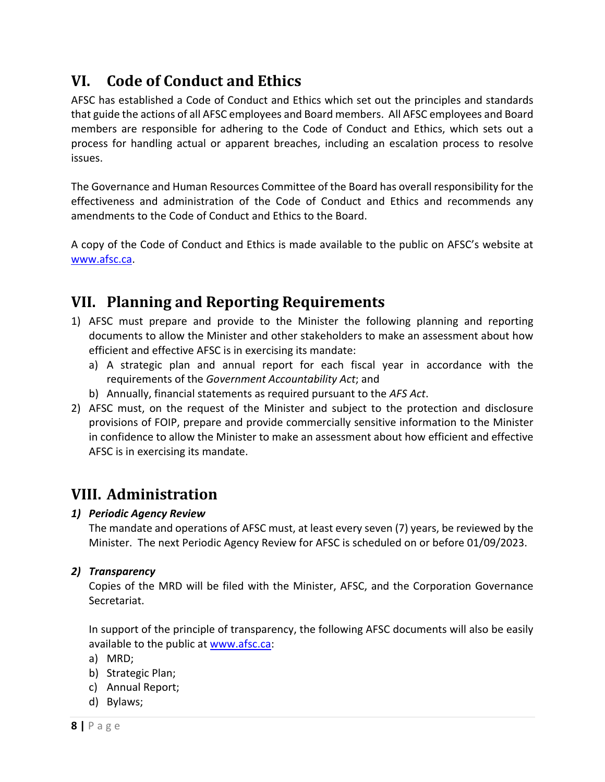## **VI. Code of Conduct and Ethics**

AFSC has established a Code of Conduct and Ethics which set out the principles and standards that guide the actions of all AFSC employees and Board members. All AFSC employees and Board members are responsible for adhering to the Code of Conduct and Ethics, which sets out a process for handling actual or apparent breaches, including an escalation process to resolve issues.

The Governance and Human Resources Committee of the Board has overall responsibility for the effectiveness and administration of the Code of Conduct and Ethics and recommends any amendments to the Code of Conduct and Ethics to the Board.

A copy of the Code of Conduct and Ethics is made available to the public on AFSC's website at www.afsc.ca.

## **VII. Planning and Reporting Requirements**

- 1) AFSC must prepare and provide to the Minister the following planning and reporting documents to allow the Minister and other stakeholders to make an assessment about how efficient and effective AFSC is in exercising its mandate:
	- a) A strategic plan and annual report for each fiscal year in accordance with the requirements of the *Government Accountability Act*; and
	- b) Annually, financial statements as required pursuant to the *AFS Act*.
- 2) AFSC must, on the request of the Minister and subject to the protection and disclosure provisions of FOIP, prepare and provide commercially sensitive information to the Minister in confidence to allow the Minister to make an assessment about how efficient and effective AFSC is in exercising its mandate.

## **VIII. Administration**

### *1) Periodic Agency Review*

The mandate and operations of AFSC must, at least every seven (7) years, be reviewed by the Minister. The next Periodic Agency Review for AFSC is scheduled on or before 01/09/2023.

### *2) Transparency*

Copies of the MRD will be filed with the Minister, AFSC, and the Corporation Governance Secretariat.

In support of the principle of transparency, the following AFSC documents will also be easily available to the public at www.afsc.ca:

- a) MRD;
- b) Strategic Plan;
- c) Annual Report;
- d) Bylaws;